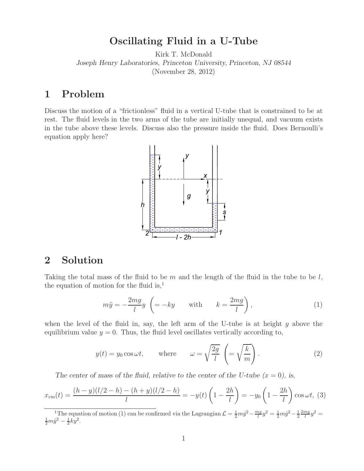## **Oscillating Fluid in a U-Tube**

Kirk T. McDonald *Joseph Henry Laboratories, Princeton University, Princeton, NJ 08544* (November 28, 2012)

## **1 Problem**

Discuss the motion of a "frictionless" fluid in a vertical U-tube that is constrained to be at rest. The fluid levels in the two arms of the tube are initially unequal, and vacuum exists in the tube above these levels. Discuss also the pressure inside the fluid. Does Bernoulli's equation apply here?



## **2 Solution**

Taking the total mass of the fluid to be  $m$  and the length of the fluid in the tube to be  $l$ , the equation of motion for the fluid is, $<sup>1</sup>$ </sup>

$$
m\ddot{y} = -\frac{2mg}{l}y \left( = -ky \qquad \text{with} \qquad k = \frac{2mg}{l} \right),\tag{1}
$$

when the level of the fluid in, say, the left arm of the U-tube is at height  $y$  above the equilibrium value  $y = 0$ . Thus, the fluid level oscillates vertically according to,

$$
y(t) = y_0 \cos \omega t
$$
, where  $\omega = \sqrt{\frac{2g}{l}} \left( = \sqrt{\frac{k}{m}} \right)$ . (2)

The center of mass of the fluid, relative to the center of the U-tube  $(x = 0)$ , is,

$$
x_{\rm cm}(t) = \frac{(h-y)(l/2 - h) - (h+y)(l/2 - h)}{l} = -y(t)\left(1 - \frac{2h}{l}\right) = -y_0\left(1 - \frac{2h}{l}\right)\cos\omega t, \tag{3}
$$

<sup>1</sup>The equation of motion (1) can be confirmed via the Lagrangian  $\mathcal{L} = \frac{1}{2}m\dot{y}^2 - \frac{mg}{l}y^2 = \frac{1}{2}m\dot{y}^2 - \frac{1}{2}\frac{2mg}{l}y^2 = \frac{1}{2}m\dot{y}^2 - \frac{1}{2}\frac{2mg}{l}y^2 = \frac{1}{2}m\dot{y}^2 - \frac{1}{2}\frac{2mg}{l}y^2 = \frac{1}{2}m\dot{y}^2 - \frac$  $rac{1}{2}m\dot{y}^2 - \frac{1}{2}ky^2$ .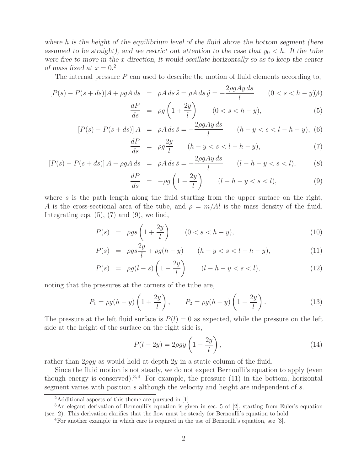*where* h *is the height of the equilibrium level of the fluid above the bottom segment (here* assumed to be straight), and we restrict out attention to the case that  $y_0 < h$ . If the tube *were free to move in the* x*-direction, it would oscillate horizontally so as to keep the center of mass fixed at*  $x = 0.2$ 

The internal pressure  $P$  can used to describe the motion of fluid elements according to,

$$
[P(s) - P(s+ds)]A + \rho gA ds = \rho A ds \ddot{s} = \rho A ds \ddot{y} = -\frac{2\rho g A y ds}{l} \qquad (0 < s < h - y)A
$$

$$
\frac{dP}{ds} = \rho g \left( 1 + \frac{2y}{l} \right) \qquad (0 < s < h - y),\tag{5}
$$

$$
[P(s) - P(s + ds)]A = \rho A ds \ddot{s} = -\frac{2\rho g A y ds}{l} \qquad (h - y < s < l - h - y), \tag{6}
$$

$$
\frac{dP}{ds} = \rho g \frac{2y}{l} \qquad (h - y < s < l - h - y),\tag{7}
$$

$$
[P(s) - P(s + ds)] A - \rho g A ds = \rho A ds \ddot{s} = -\frac{2\rho g A y ds}{l} \qquad (l - h - y < s < l), \tag{8}
$$

$$
\frac{dP}{ds} = -\rho g \left( 1 - \frac{2y}{l} \right) \qquad (l - h - y < s < l),\tag{9}
$$

where s is the path length along the fluid starting from the upper surface on the right, A is the cross-sectional area of the tube, and  $\rho = m/Al$  is the mass density of the fluid. Integrating eqs.  $(5)$ ,  $(7)$  and  $(9)$ , we find,

$$
P(s) = \rho gs \left( 1 + \frac{2y}{l} \right) \qquad (0 < s < h - y), \tag{10}
$$

$$
P(s) = \rho g s \frac{2y}{l} + \rho g (h - y) \qquad (h - y < s < l - h - y), \tag{11}
$$

$$
P(s) = \rho g(l - s) \left( 1 - \frac{2y}{l} \right) \qquad (l - h - y < s < l), \tag{12}
$$

noting that the pressures at the corners of the tube are,

$$
P_1 = \rho g(h - y) \left( 1 + \frac{2y}{l} \right), \qquad P_2 = \rho g(h + y) \left( 1 - \frac{2y}{l} \right). \tag{13}
$$

The pressure at the left fluid surface is  $P(l) = 0$  as expected, while the pressure on the left side at the height of the surface on the right side is,

$$
P(l - 2y) = 2\rho gy \left(1 - \frac{2y}{l}\right),\tag{14}
$$

rather than  $2\rho gy$  as would hold at depth  $2y$  in a static column of the fluid.

Since the fluid motion is not steady, we do not expect Bernoulli's equation to apply (even though energy is conserved).<sup>3,4</sup> For example, the pressure  $(11)$  in the bottom, horizontal segment varies with position s although the velocity and height are independent of s.

<sup>2</sup>Additional aspects of this theme are pursued in [1].

<sup>&</sup>lt;sup>3</sup>An elegant derivation of Bernoulli's equation is given in sec. 5 of [2], starting from Euler's equation (sec. 2). This derivation clarifies that the flow must be steady for Bernoulli's equation to hold.

<sup>4</sup>For another example in which care is required in the use of Bernoulli's equation, see [3].